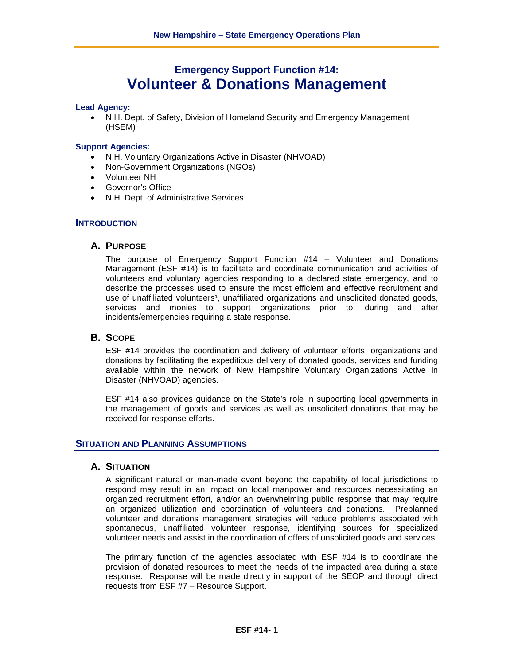# **Emergency Support Function #14: Volunteer & Donations Management**

### **Lead Agency:**

• N.H. Dept. of Safety, Division of Homeland Security and Emergency Management (HSEM)

#### **Support Agencies:**

- N.H. Voluntary Organizations Active in Disaster (NHVOAD)
- Non-Government Organizations (NGOs)
- Volunteer NH
- Governor's Office
- N.H. Dept. of Administrative Services

#### **INTRODUCTION**

#### **A. PURPOSE**

The purpose of Emergency Support Function #14 – Volunteer and Donations Management (ESF #14) is to facilitate and coordinate communication and activities of volunteers and voluntary agencies responding to a declared state emergency, and to describe the processes used to ensure the most efficient and effective recruitment and use of unaffiliated volunteers<sup>1</sup>, unaffiliated organizations and unsolicited donated goods, services and monies to support organizations prior to, during and after incidents/emergencies requiring a state response.

### **B. SCOPE**

ESF #14 provides the coordination and delivery of volunteer efforts, organizations and donations by facilitating the expeditious delivery of donated goods, services and funding available within the network of New Hampshire Voluntary Organizations Active in Disaster (NHVOAD) agencies.

ESF #14 also provides guidance on the State's role in supporting local governments in the management of goods and services as well as unsolicited donations that may be received for response efforts.

#### **SITUATION AND PLANNING ASSUMPTIONS**

#### **A. SITUATION**

A significant natural or man-made event beyond the capability of local jurisdictions to respond may result in an impact on local manpower and resources necessitating an organized recruitment effort, and/or an overwhelming public response that may require an organized utilization and coordination of volunteers and donations. Preplanned volunteer and donations management strategies will reduce problems associated with spontaneous, unaffiliated volunteer response, identifying sources for specialized volunteer needs and assist in the coordination of offers of unsolicited goods and services.

The primary function of the agencies associated with ESF #14 is to coordinate the provision of donated resources to meet the needs of the impacted area during a state response. Response will be made directly in support of the SEOP and through direct requests from ESF #7 – Resource Support.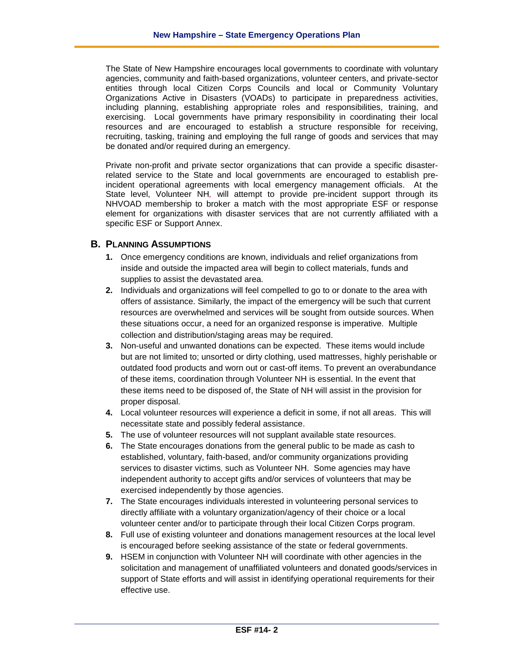The State of New Hampshire encourages local governments to coordinate with voluntary agencies, community and faith-based organizations, volunteer centers, and private-sector entities through local Citizen Corps Councils and local or Community Voluntary Organizations Active in Disasters (VOADs) to participate in preparedness activities, including planning, establishing appropriate roles and responsibilities, training, and exercising. Local governments have primary responsibility in coordinating their local resources and are encouraged to establish a structure responsible for receiving, recruiting, tasking, training and employing the full range of goods and services that may be donated and/or required during an emergency.

Private non-profit and private sector organizations that can provide a specific disasterrelated service to the State and local governments are encouraged to establish preincident operational agreements with local emergency management officials. At the State level, Volunteer NH*,* will attempt to provide pre-incident support through its NHVOAD membership to broker a match with the most appropriate ESF or response element for organizations with disaster services that are not currently affiliated with a specific ESF or Support Annex.

### **B. PLANNING ASSUMPTIONS**

- **1.** Once emergency conditions are known, individuals and relief organizations from inside and outside the impacted area will begin to collect materials, funds and supplies to assist the devastated area.
- **2.** Individuals and organizations will feel compelled to go to or donate to the area with offers of assistance. Similarly, the impact of the emergency will be such that current resources are overwhelmed and services will be sought from outside sources. When these situations occur, a need for an organized response is imperative. Multiple collection and distribution/staging areas may be required.
- **3.** Non-useful and unwanted donations can be expected. These items would include but are not limited to; unsorted or dirty clothing, used mattresses, highly perishable or outdated food products and worn out or cast-off items. To prevent an overabundance of these items, coordination through Volunteer NH is essential. In the event that these items need to be disposed of, the State of NH will assist in the provision for proper disposal.
- **4.** Local volunteer resources will experience a deficit in some, if not all areas. This will necessitate state and possibly federal assistance.
- **5.** The use of volunteer resources will not supplant available state resources.
- **6.** The State encourages donations from the general public to be made as cash to established, voluntary, faith-based, and/or community organizations providing services to disaster victims*,* such as Volunteer NH. Some agencies may have independent authority to accept gifts and/or services of volunteers that may be exercised independently by those agencies.
- **7.** The State encourages individuals interested in volunteering personal services to directly affiliate with a voluntary organization/agency of their choice or a local volunteer center and/or to participate through their local Citizen Corps program.
- **8.** Full use of existing volunteer and donations management resources at the local level is encouraged before seeking assistance of the state or federal governments.
- **9.** HSEM in conjunction with Volunteer NH will coordinate with other agencies in the solicitation and management of unaffiliated volunteers and donated goods/services in support of State efforts and will assist in identifying operational requirements for their effective use.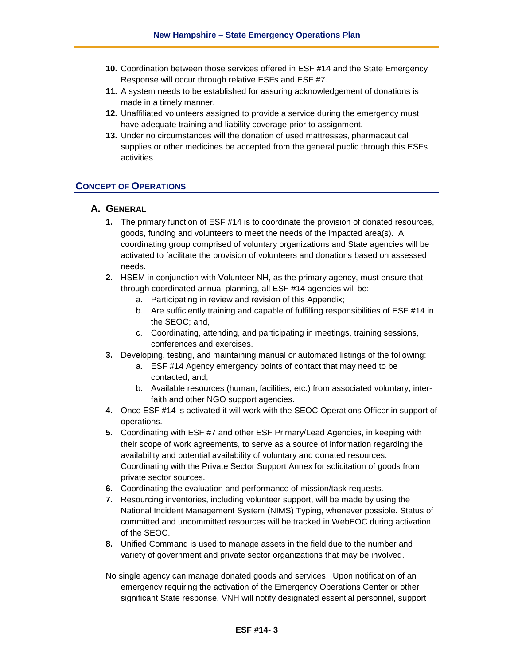- **10.** Coordination between those services offered in ESF #14 and the State Emergency Response will occur through relative ESFs and ESF #7.
- **11.** A system needs to be established for assuring acknowledgement of donations is made in a timely manner.
- **12.** Unaffiliated volunteers assigned to provide a service during the emergency must have adequate training and liability coverage prior to assignment.
- **13.** Under no circumstances will the donation of used mattresses, pharmaceutical supplies or other medicines be accepted from the general public through this ESFs activities.

### **CONCEPT OF OPERATIONS**

### **A. GENERAL**

- **1.** The primary function of ESF #14 is to coordinate the provision of donated resources, goods, funding and volunteers to meet the needs of the impacted area(s). A coordinating group comprised of voluntary organizations and State agencies will be activated to facilitate the provision of volunteers and donations based on assessed needs.
- **2.** HSEM in conjunction with Volunteer NH, as the primary agency, must ensure that through coordinated annual planning, all ESF #14 agencies will be:
	- a. Participating in review and revision of this Appendix;
	- b. Are sufficiently training and capable of fulfilling responsibilities of ESF #14 in the SEOC; and,
	- c. Coordinating, attending, and participating in meetings, training sessions, conferences and exercises.
- **3.** Developing, testing, and maintaining manual or automated listings of the following:
	- a. ESF #14 Agency emergency points of contact that may need to be contacted, and;
	- b. Available resources (human, facilities, etc.) from associated voluntary, interfaith and other NGO support agencies.
- **4.** Once ESF #14 is activated it will work with the SEOC Operations Officer in support of operations.
- **5.** Coordinating with ESF #7 and other ESF Primary/Lead Agencies, in keeping with their scope of work agreements, to serve as a source of information regarding the availability and potential availability of voluntary and donated resources. Coordinating with the Private Sector Support Annex for solicitation of goods from private sector sources.
- **6.** Coordinating the evaluation and performance of mission/task requests.
- **7.** Resourcing inventories, including volunteer support, will be made by using the National Incident Management System (NIMS) Typing, whenever possible. Status of committed and uncommitted resources will be tracked in WebEOC during activation of the SEOC.
- **8.** Unified Command is used to manage assets in the field due to the number and variety of government and private sector organizations that may be involved.

No single agency can manage donated goods and services. Upon notification of an emergency requiring the activation of the Emergency Operations Center or other significant State response, VNH will notify designated essential personnel, support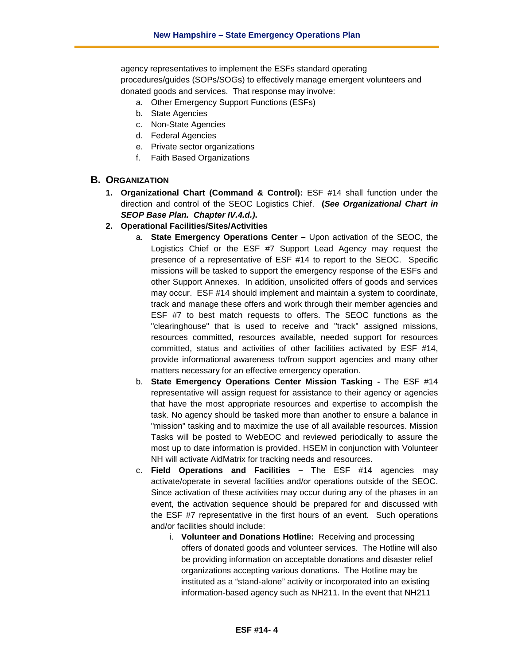agency representatives to implement the ESFs standard operating procedures/guides (SOPs/SOGs) to effectively manage emergent volunteers and donated goods and services. That response may involve:

- a. Other Emergency Support Functions (ESFs)
- b. State Agencies
- c. Non-State Agencies
- d. Federal Agencies
- e. Private sector organizations
- f. Faith Based Organizations

### **B. ORGANIZATION**

- **1. Organizational Chart (Command & Control):** ESF #14 shall function under the direction and control of the SEOC Logistics Chief. **(***See Organizational Chart in SEOP Base Plan. Chapter IV.4.d.)***.**
- **2. Operational Facilities/Sites/Activities**
	- a. **State Emergency Operations Center –** Upon activation of the SEOC, the Logistics Chief or the ESF #7 Support Lead Agency may request the presence of a representative of ESF #14 to report to the SEOC. Specific missions will be tasked to support the emergency response of the ESFs and other Support Annexes. In addition, unsolicited offers of goods and services may occur. ESF #14 should implement and maintain a system to coordinate, track and manage these offers and work through their member agencies and ESF #7 to best match requests to offers. The SEOC functions as the "clearinghouse" that is used to receive and "track" assigned missions, resources committed, resources available, needed support for resources committed, status and activities of other facilities activated by ESF #14, provide informational awareness to/from support agencies and many other matters necessary for an effective emergency operation.
	- b. **State Emergency Operations Center Mission Tasking -** The ESF #14 representative will assign request for assistance to their agency or agencies that have the most appropriate resources and expertise to accomplish the task. No agency should be tasked more than another to ensure a balance in "mission" tasking and to maximize the use of all available resources. Mission Tasks will be posted to WebEOC and reviewed periodically to assure the most up to date information is provided. HSEM in conjunction with Volunteer NH will activate AidMatrix for tracking needs and resources.
	- c. **Field Operations and Facilities –** The ESF #14 agencies may activate/operate in several facilities and/or operations outside of the SEOC. Since activation of these activities may occur during any of the phases in an event, the activation sequence should be prepared for and discussed with the ESF #7 representative in the first hours of an event. Such operations and/or facilities should include:
		- i. **Volunteer and Donations Hotline:** Receiving and processing offers of donated goods and volunteer services. The Hotline will also be providing information on acceptable donations and disaster relief organizations accepting various donations. The Hotline may be instituted as a "stand-alone" activity or incorporated into an existing information-based agency such as NH211. In the event that NH211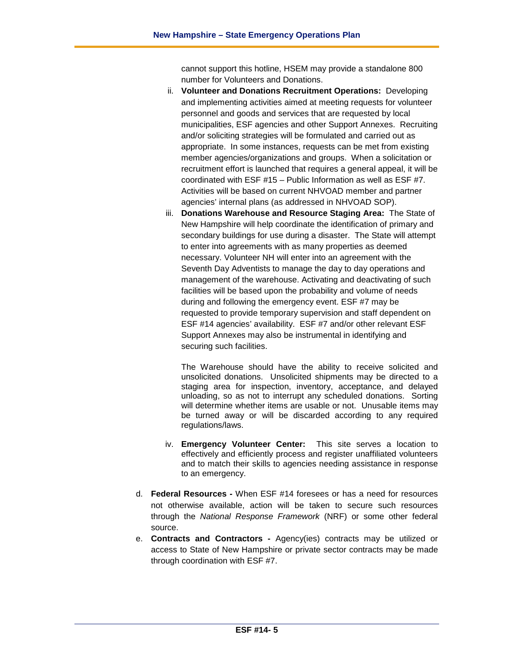cannot support this hotline, HSEM may provide a standalone 800 number for Volunteers and Donations.

- ii. **Volunteer and Donations Recruitment Operations:** Developing and implementing activities aimed at meeting requests for volunteer personnel and goods and services that are requested by local municipalities, ESF agencies and other Support Annexes. Recruiting and/or soliciting strategies will be formulated and carried out as appropriate. In some instances, requests can be met from existing member agencies/organizations and groups. When a solicitation or recruitment effort is launched that requires a general appeal, it will be coordinated with ESF #15 – Public Information as well as ESF #7. Activities will be based on current NHVOAD member and partner agencies' internal plans (as addressed in NHVOAD SOP).
- iii. **Donations Warehouse and Resource Staging Area:** The State of New Hampshire will help coordinate the identification of primary and secondary buildings for use during a disaster. The State will attempt to enter into agreements with as many properties as deemed necessary. Volunteer NH will enter into an agreement with the Seventh Day Adventists to manage the day to day operations and management of the warehouse. Activating and deactivating of such facilities will be based upon the probability and volume of needs during and following the emergency event. ESF #7 may be requested to provide temporary supervision and staff dependent on ESF #14 agencies' availability. ESF #7 and/or other relevant ESF Support Annexes may also be instrumental in identifying and securing such facilities.

The Warehouse should have the ability to receive solicited and unsolicited donations. Unsolicited shipments may be directed to a staging area for inspection, inventory, acceptance, and delayed unloading, so as not to interrupt any scheduled donations. Sorting will determine whether items are usable or not. Unusable items may be turned away or will be discarded according to any required regulations/laws.

- iv. **Emergency Volunteer Center:** This site serves a location to effectively and efficiently process and register unaffiliated volunteers and to match their skills to agencies needing assistance in response to an emergency.
- d. **Federal Resources -** When ESF #14 foresees or has a need for resources not otherwise available, action will be taken to secure such resources through the *National Response Framework* (NRF) or some other federal source.
- e. **Contracts and Contractors -** Agency(ies) contracts may be utilized or access to State of New Hampshire or private sector contracts may be made through coordination with ESF #7.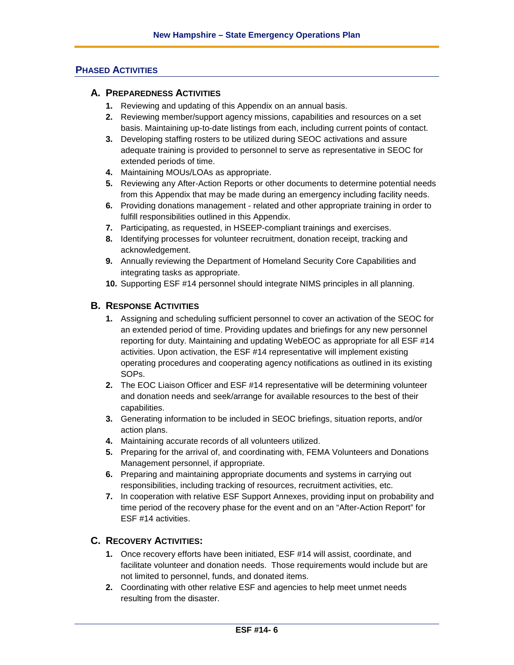# **PHASED ACTIVITIES**

### **A. PREPAREDNESS ACTIVITIES**

- **1.** Reviewing and updating of this Appendix on an annual basis.
- **2.** Reviewing member/support agency missions, capabilities and resources on a set basis. Maintaining up-to-date listings from each, including current points of contact.
- **3.** Developing staffing rosters to be utilized during SEOC activations and assure adequate training is provided to personnel to serve as representative in SEOC for extended periods of time.
- **4.** Maintaining MOUs/LOAs as appropriate.
- **5.** Reviewing any After-Action Reports or other documents to determine potential needs from this Appendix that may be made during an emergency including facility needs.
- **6.** Providing donations management related and other appropriate training in order to fulfill responsibilities outlined in this Appendix.
- **7.** Participating, as requested, in HSEEP-compliant trainings and exercises.
- **8.** Identifying processes for volunteer recruitment, donation receipt, tracking and acknowledgement.
- **9.** Annually reviewing the Department of Homeland Security Core Capabilities and integrating tasks as appropriate.
- **10.** Supporting ESF #14 personnel should integrate NIMS principles in all planning.

### **B. RESPONSE ACTIVITIES**

- **1.** Assigning and scheduling sufficient personnel to cover an activation of the SEOC for an extended period of time. Providing updates and briefings for any new personnel reporting for duty. Maintaining and updating WebEOC as appropriate for all ESF #14 activities. Upon activation, the ESF #14 representative will implement existing operating procedures and cooperating agency notifications as outlined in its existing SOPs.
- **2.** The EOC Liaison Officer and ESF #14 representative will be determining volunteer and donation needs and seek/arrange for available resources to the best of their capabilities.
- **3.** Generating information to be included in SEOC briefings, situation reports, and/or action plans.
- **4.** Maintaining accurate records of all volunteers utilized.
- **5.** Preparing for the arrival of, and coordinating with, FEMA Volunteers and Donations Management personnel, if appropriate.
- **6.** Preparing and maintaining appropriate documents and systems in carrying out responsibilities, including tracking of resources, recruitment activities, etc.
- **7.** In cooperation with relative ESF Support Annexes, providing input on probability and time period of the recovery phase for the event and on an "After-Action Report" for ESF #14 activities.

# **C. RECOVERY ACTIVITIES:**

- **1.** Once recovery efforts have been initiated, ESF #14 will assist, coordinate, and facilitate volunteer and donation needs. Those requirements would include but are not limited to personnel, funds, and donated items.
- **2.** Coordinating with other relative ESF and agencies to help meet unmet needs resulting from the disaster.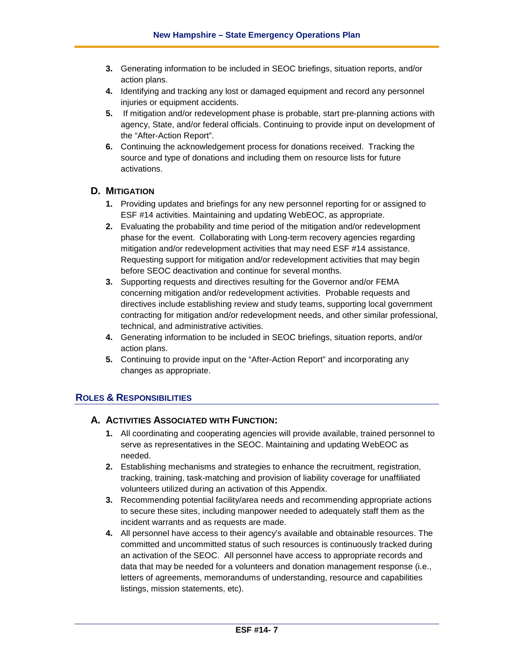- **3.** Generating information to be included in SEOC briefings, situation reports, and/or action plans.
- **4.** Identifying and tracking any lost or damaged equipment and record any personnel injuries or equipment accidents.
- **5.** If mitigation and/or redevelopment phase is probable, start pre-planning actions with agency, State, and/or federal officials. Continuing to provide input on development of the "After-Action Report".
- **6.** Continuing the acknowledgement process for donations received. Tracking the source and type of donations and including them on resource lists for future activations.

# **D. MITIGATION**

- **1.** Providing updates and briefings for any new personnel reporting for or assigned to ESF #14 activities. Maintaining and updating WebEOC, as appropriate.
- **2.** Evaluating the probability and time period of the mitigation and/or redevelopment phase for the event. Collaborating with Long-term recovery agencies regarding mitigation and/or redevelopment activities that may need ESF #14 assistance. Requesting support for mitigation and/or redevelopment activities that may begin before SEOC deactivation and continue for several months.
- **3.** Supporting requests and directives resulting for the Governor and/or FEMA concerning mitigation and/or redevelopment activities. Probable requests and directives include establishing review and study teams, supporting local government contracting for mitigation and/or redevelopment needs, and other similar professional, technical, and administrative activities.
- **4.** Generating information to be included in SEOC briefings, situation reports, and/or action plans.
- **5.** Continuing to provide input on the "After-Action Report" and incorporating any changes as appropriate.

# **ROLES & RESPONSIBILITIES**

### **A. ACTIVITIES ASSOCIATED WITH FUNCTION:**

- **1.** All coordinating and cooperating agencies will provide available, trained personnel to serve as representatives in the SEOC. Maintaining and updating WebEOC as needed.
- **2.** Establishing mechanisms and strategies to enhance the recruitment, registration, tracking, training, task-matching and provision of liability coverage for unaffiliated volunteers utilized during an activation of this Appendix.
- **3.** Recommending potential facility/area needs and recommending appropriate actions to secure these sites, including manpower needed to adequately staff them as the incident warrants and as requests are made.
- **4.** All personnel have access to their agency's available and obtainable resources. The committed and uncommitted status of such resources is continuously tracked during an activation of the SEOC. All personnel have access to appropriate records and data that may be needed for a volunteers and donation management response (i.e., letters of agreements, memorandums of understanding, resource and capabilities listings, mission statements, etc).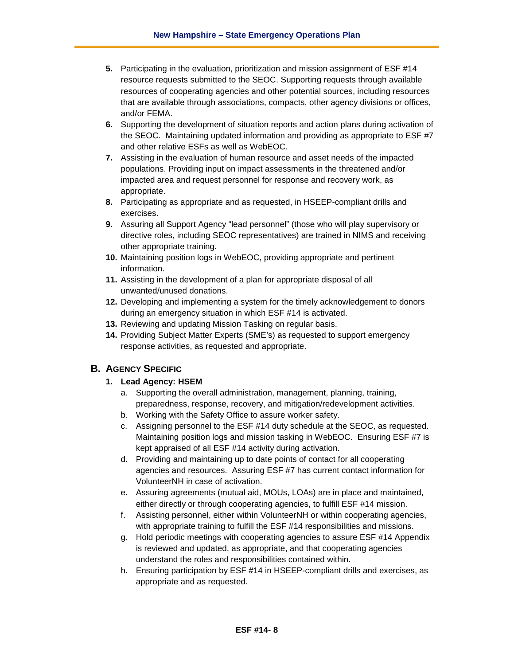- **5.** Participating in the evaluation, prioritization and mission assignment of ESF #14 resource requests submitted to the SEOC. Supporting requests through available resources of cooperating agencies and other potential sources, including resources that are available through associations, compacts, other agency divisions or offices, and/or FEMA.
- **6.** Supporting the development of situation reports and action plans during activation of the SEOC. Maintaining updated information and providing as appropriate to ESF #7 and other relative ESFs as well as WebEOC.
- **7.** Assisting in the evaluation of human resource and asset needs of the impacted populations. Providing input on impact assessments in the threatened and/or impacted area and request personnel for response and recovery work, as appropriate.
- **8.** Participating as appropriate and as requested, in HSEEP-compliant drills and exercises.
- **9.** Assuring all Support Agency "lead personnel" (those who will play supervisory or directive roles, including SEOC representatives) are trained in NIMS and receiving other appropriate training.
- **10.** Maintaining position logs in WebEOC, providing appropriate and pertinent information.
- **11.** Assisting in the development of a plan for appropriate disposal of all unwanted/unused donations.
- **12.** Developing and implementing a system for the timely acknowledgement to donors during an emergency situation in which ESF #14 is activated.
- **13.** Reviewing and updating Mission Tasking on regular basis.
- **14.** Providing Subject Matter Experts (SME's) as requested to support emergency response activities, as requested and appropriate.

### **B. AGENCY SPECIFIC**

- **1. Lead Agency: HSEM**
	- a. Supporting the overall administration, management, planning, training, preparedness, response, recovery, and mitigation/redevelopment activities.
	- b. Working with the Safety Office to assure worker safety.
	- c. Assigning personnel to the ESF #14 duty schedule at the SEOC, as requested. Maintaining position logs and mission tasking in WebEOC. Ensuring ESF #7 is kept appraised of all ESF #14 activity during activation.
	- d. Providing and maintaining up to date points of contact for all cooperating agencies and resources. Assuring ESF #7 has current contact information for VolunteerNH in case of activation.
	- e. Assuring agreements (mutual aid, MOUs, LOAs) are in place and maintained, either directly or through cooperating agencies, to fulfill ESF #14 mission.
	- f. Assisting personnel, either within VolunteerNH or within cooperating agencies, with appropriate training to fulfill the ESF #14 responsibilities and missions.
	- g. Hold periodic meetings with cooperating agencies to assure ESF #14 Appendix is reviewed and updated, as appropriate, and that cooperating agencies understand the roles and responsibilities contained within.
	- h. Ensuring participation by ESF #14 in HSEEP-compliant drills and exercises, as appropriate and as requested.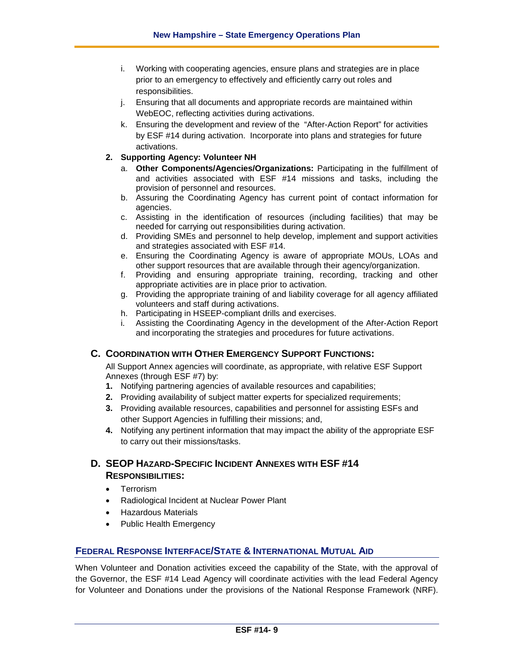- i. Working with cooperating agencies, ensure plans and strategies are in place prior to an emergency to effectively and efficiently carry out roles and responsibilities.
- j. Ensuring that all documents and appropriate records are maintained within WebEOC, reflecting activities during activations.
- k. Ensuring the development and review of the "After-Action Report" for activities by ESF #14 during activation. Incorporate into plans and strategies for future activations.

### **2. Supporting Agency: Volunteer NH**

- a. **Other Components/Agencies/Organizations:** Participating in the fulfillment of and activities associated with ESF #14 missions and tasks, including the provision of personnel and resources.
- b. Assuring the Coordinating Agency has current point of contact information for agencies.
- c. Assisting in the identification of resources (including facilities) that may be needed for carrying out responsibilities during activation.
- d. Providing SMEs and personnel to help develop, implement and support activities and strategies associated with ESF #14.
- e. Ensuring the Coordinating Agency is aware of appropriate MOUs, LOAs and other support resources that are available through their agency/organization.
- f. Providing and ensuring appropriate training, recording, tracking and other appropriate activities are in place prior to activation.
- g. Providing the appropriate training of and liability coverage for all agency affiliated volunteers and staff during activations.
- h. Participating in HSEEP-compliant drills and exercises.
- i. Assisting the Coordinating Agency in the development of the After-Action Report and incorporating the strategies and procedures for future activations.

### **C. COORDINATION WITH OTHER EMERGENCY SUPPORT FUNCTIONS:**

All Support Annex agencies will coordinate, as appropriate, with relative ESF Support Annexes (through ESF #7) by:

- **1.** Notifying partnering agencies of available resources and capabilities;
- **2.** Providing availability of subject matter experts for specialized requirements;
- **3.** Providing available resources, capabilities and personnel for assisting ESFs and other Support Agencies in fulfilling their missions; and,
- **4.** Notifying any pertinent information that may impact the ability of the appropriate ESF to carry out their missions/tasks.

# **D. SEOP HAZARD-SPECIFIC INCIDENT ANNEXES WITH ESF #14 RESPONSIBILITIES:**

- Terrorism
- Radiological Incident at Nuclear Power Plant
- Hazardous Materials
- Public Health Emergency

# **FEDERAL RESPONSE INTERFACE/STATE & INTERNATIONAL MUTUAL AID**

When Volunteer and Donation activities exceed the capability of the State, with the approval of the Governor, the ESF #14 Lead Agency will coordinate activities with the lead Federal Agency for Volunteer and Donations under the provisions of the National Response Framework (NRF).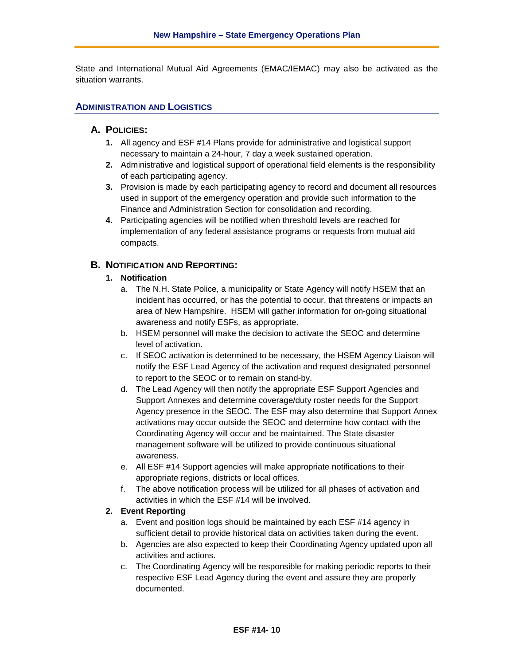State and International Mutual Aid Agreements (EMAC/IEMAC) may also be activated as the situation warrants.

### **ADMINISTRATION AND LOGISTICS**

### **A. POLICIES:**

- **1.** All agency and ESF #14 Plans provide for administrative and logistical support necessary to maintain a 24-hour, 7 day a week sustained operation.
- **2.** Administrative and logistical support of operational field elements is the responsibility of each participating agency.
- **3.** Provision is made by each participating agency to record and document all resources used in support of the emergency operation and provide such information to the Finance and Administration Section for consolidation and recording.
- **4.** Participating agencies will be notified when threshold levels are reached for implementation of any federal assistance programs or requests from mutual aid compacts.

### **B. NOTIFICATION AND REPORTING:**

### **1. Notification**

- a. The N.H. State Police, a municipality or State Agency will notify HSEM that an incident has occurred, or has the potential to occur, that threatens or impacts an area of New Hampshire. HSEM will gather information for on-going situational awareness and notify ESFs, as appropriate.
- b. HSEM personnel will make the decision to activate the SEOC and determine level of activation.
- c. If SEOC activation is determined to be necessary, the HSEM Agency Liaison will notify the ESF Lead Agency of the activation and request designated personnel to report to the SEOC or to remain on stand-by.
- d. The Lead Agency will then notify the appropriate ESF Support Agencies and Support Annexes and determine coverage/duty roster needs for the Support Agency presence in the SEOC. The ESF may also determine that Support Annex activations may occur outside the SEOC and determine how contact with the Coordinating Agency will occur and be maintained. The State disaster management software will be utilized to provide continuous situational awareness.
- e. All ESF #14 Support agencies will make appropriate notifications to their appropriate regions, districts or local offices.
- f. The above notification process will be utilized for all phases of activation and activities in which the ESF #14 will be involved.

#### **2. Event Reporting**

- a. Event and position logs should be maintained by each ESF #14 agency in sufficient detail to provide historical data on activities taken during the event.
- b. Agencies are also expected to keep their Coordinating Agency updated upon all activities and actions.
- c. The Coordinating Agency will be responsible for making periodic reports to their respective ESF Lead Agency during the event and assure they are properly documented.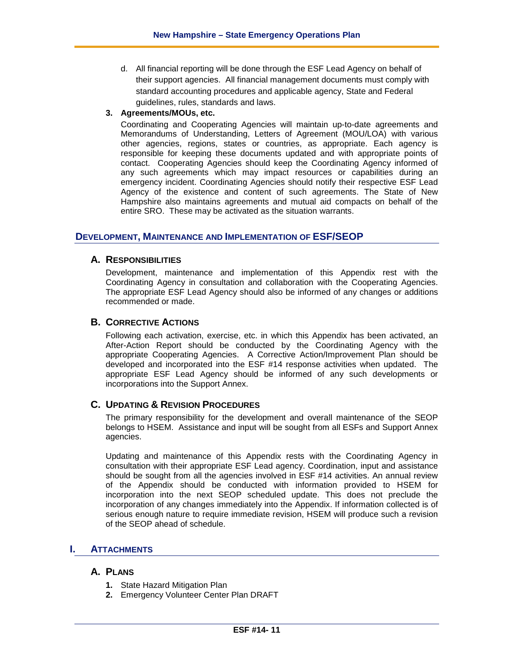d. All financial reporting will be done through the ESF Lead Agency on behalf of their support agencies. All financial management documents must comply with standard accounting procedures and applicable agency, State and Federal guidelines, rules, standards and laws.

#### **3. Agreements/MOUs, etc.**

Coordinating and Cooperating Agencies will maintain up-to-date agreements and Memorandums of Understanding, Letters of Agreement (MOU/LOA) with various other agencies, regions, states or countries, as appropriate. Each agency is responsible for keeping these documents updated and with appropriate points of contact. Cooperating Agencies should keep the Coordinating Agency informed of any such agreements which may impact resources or capabilities during an emergency incident. Coordinating Agencies should notify their respective ESF Lead Agency of the existence and content of such agreements. The State of New Hampshire also maintains agreements and mutual aid compacts on behalf of the entire SRO. These may be activated as the situation warrants.

### **DEVELOPMENT, MAINTENANCE AND IMPLEMENTATION OF ESF/SEOP**

### **A. RESPONSIBILITIES**

Development, maintenance and implementation of this Appendix rest with the Coordinating Agency in consultation and collaboration with the Cooperating Agencies. The appropriate ESF Lead Agency should also be informed of any changes or additions recommended or made.

#### **B. CORRECTIVE ACTIONS**

Following each activation, exercise, etc. in which this Appendix has been activated, an After-Action Report should be conducted by the Coordinating Agency with the appropriate Cooperating Agencies. A Corrective Action/Improvement Plan should be developed and incorporated into the ESF #14 response activities when updated. The appropriate ESF Lead Agency should be informed of any such developments or incorporations into the Support Annex.

### **C. UPDATING & REVISION PROCEDURES**

The primary responsibility for the development and overall maintenance of the SEOP belongs to HSEM. Assistance and input will be sought from all ESFs and Support Annex agencies.

Updating and maintenance of this Appendix rests with the Coordinating Agency in consultation with their appropriate ESF Lead agency. Coordination, input and assistance should be sought from all the agencies involved in ESF #14 activities. An annual review of the Appendix should be conducted with information provided to HSEM for incorporation into the next SEOP scheduled update. This does not preclude the incorporation of any changes immediately into the Appendix. If information collected is of serious enough nature to require immediate revision, HSEM will produce such a revision of the SEOP ahead of schedule.

### **I. ATTACHMENTS**

### **A. PLANS**

- **1.** State Hazard Mitigation Plan
- **2.** Emergency Volunteer Center Plan DRAFT